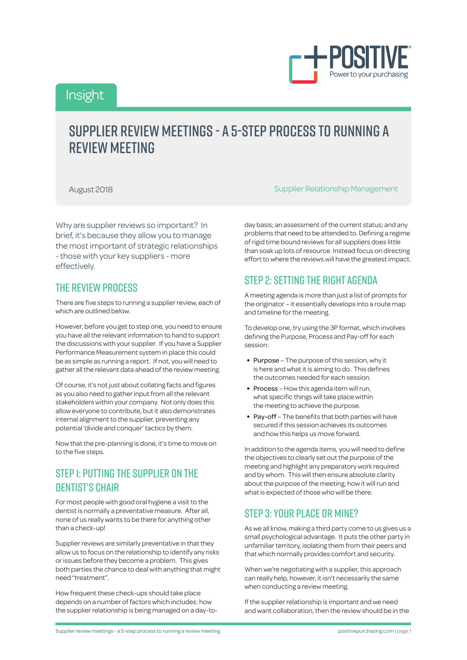

## Insight

# Supplier review meetings - a 5-step process to running a RFVIFW MFFTING

Why are supplier reviews so important? In brief, it's because they allow you to manage the most important of strategic relationships - those with your key suppliers - more effectively.

#### The review process

There are five steps to running a supplier review, each of which are outlined below.

However, before you get to step one, you need to ensure you have all the relevant information to hand to support the discussions with your supplier. If you have a Supplier Performance Measurement system in place this could be as simple as running a report. If not, you will need to gather all the relevant data ahead of the review meeting.

Of course, it's not just about collating facts and figures as you also need to gather input from all the relevant stakeholders within your company. Not only does this allow everyone to contribute, but it also demonstrates internal alignment to the supplier, preventing any potential 'divide and conquer' tactics by them.

Now that the pre-planning is done, it's time to move on to the five steps.

### STEP I: PUTTING THE SUPPLIER ON THE dentist's chair

For most people with good oral hygiene a visit to the dentist is normally a preventative measure. After all, none of us really wants to be there for anything other than a check-up!

Supplier reviews are similarly preventative in that they allow us to focus on the relationship to identify any risks or issues before they become a problem. This gives both parties the chance to deal with anything that might need "treatment".

How frequent these check-ups should take place depends on a number of factors which includes: how the supplier relationship is being managed on a day-to-

August 2018 Supplier Relationship Management

day basis; an assessment of the current status; and any problems that need to be attended to. Defining a regime of rigid time bound reviews for all suppliers does little than soak up lots of resource. Instead focus on directing effort to where the reviews will have the greatest impact.

### Step 2: Setting the right agenda

A meeting agenda is more than just a list of prompts for the originator – it essentially develops into a route map and timeline for the meeting.

To develop one, try using the 3P format, which involves defining the Purpose, Process and Pay-off for each session:

- Purpose The purpose of this session, why it is here and what it is aiming to do. This defines the outcomes needed for each session.
- Process How this agenda item will run, what specific things will take place within the meeting to achieve the purpose.
- Pay-off The benefits that both parties will have secured if this session achieves its outcomes and how this helps us move forward.

In addition to the agenda items, you will need to define the objectives to clearly set out the purpose of the meeting and highlight any preparatory work required and by whom. This will then ensure absolute clarity about the purpose of the meeting, how it will run and what is expected of those who will be there.

### Step 3: Your place or mine?

As we all know, making a third party come to us gives us a small psychological advantage. It puts the other party in unfamiliar territory, isolating them from their peers and that which normally provides comfort and security.

When we're negotiating with a supplier, this approach can really help, however, it isn't necessarily the same when conducting a review meeting.

If the supplier relationship is important and we need and want collaboration, then the review should be in the